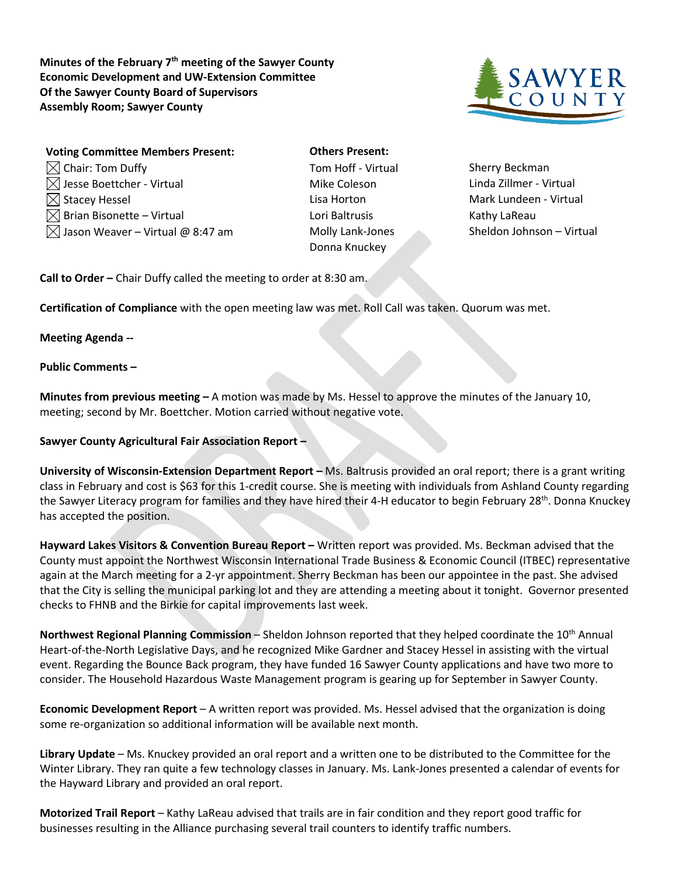**Minutes of the February 7th meeting of the Sawyer County Economic Development and UW-Extension Committee Of the Sawyer County Board of Supervisors Assembly Room; Sawyer County**



| <b>Voting Committee Members Present:</b>     |
|----------------------------------------------|
| $\boxtimes$ Chair: Tom Duffy                 |
| $\boxtimes$ Jesse Boettcher - Virtual        |
| $\boxtimes$ Stacey Hessel                    |
| $\boxtimes$ Brian Bisonette – Virtual        |
| $\boxtimes$ Jason Weaver – Virtual @ 8:47 am |

**Others Present:** Tom Hoff - Virtual Sherry Beckman Lori Baltrusis and Executive Kathy LaReau Donna Knuckey

Mike Coleson Linda Zillmer - Virtual Lisa Horton **Mark Lundeen - Virtual** Molly Lank-Jones Sheldon Johnson – Virtual

**Call to Order –** Chair Duffy called the meeting to order at 8:30 am.

**Certification of Compliance** with the open meeting law was met. Roll Call was taken. Quorum was met.

**Meeting Agenda --**

**Public Comments –**

**Minutes from previous meeting –** A motion was made by Ms. Hessel to approve the minutes of the January 10, meeting; second by Mr. Boettcher. Motion carried without negative vote.

## **Sawyer County Agricultural Fair Association Report –**

**University of Wisconsin-Extension Department Report –** Ms. Baltrusis provided an oral report; there is a grant writing class in February and cost is \$63 for this 1-credit course. She is meeting with individuals from Ashland County regarding the Sawyer Literacy program for families and they have hired their 4-H educator to begin February 28<sup>th</sup>. Donna Knuckey has accepted the position.

**Hayward Lakes Visitors & Convention Bureau Report –** Written report was provided. Ms. Beckman advised that the County must appoint the Northwest Wisconsin International Trade Business & Economic Council (ITBEC) representative again at the March meeting for a 2-yr appointment. Sherry Beckman has been our appointee in the past. She advised that the City is selling the municipal parking lot and they are attending a meeting about it tonight. Governor presented checks to FHNB and the Birkie for capital improvements last week.

**Northwest Regional Planning Commission –** Sheldon Johnson reported that they helped coordinate the 10<sup>th</sup> Annual Heart-of-the-North Legislative Days, and he recognized Mike Gardner and Stacey Hessel in assisting with the virtual event. Regarding the Bounce Back program, they have funded 16 Sawyer County applications and have two more to consider. The Household Hazardous Waste Management program is gearing up for September in Sawyer County.

**Economic Development Report** – A written report was provided. Ms. Hessel advised that the organization is doing some re-organization so additional information will be available next month.

**Library Update** – Ms. Knuckey provided an oral report and a written one to be distributed to the Committee for the Winter Library. They ran quite a few technology classes in January. Ms. Lank-Jones presented a calendar of events for the Hayward Library and provided an oral report.

**Motorized Trail Report** – Kathy LaReau advised that trails are in fair condition and they report good traffic for businesses resulting in the Alliance purchasing several trail counters to identify traffic numbers.